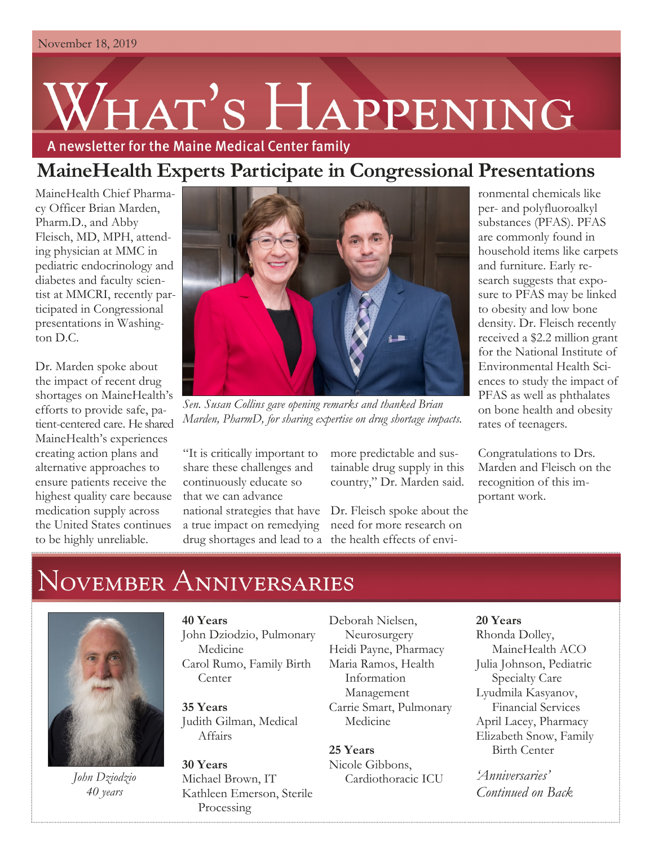# HAT'S HAPPENING A newsletter for the Maine Medical Center family

### **MaineHealth Experts Participate in Congressional Presentations**

MaineHealth Chief Pharmacy Officer Brian Marden, Pharm.D., and Abby Fleisch, MD, MPH, attending physician at MMC in pediatric endocrinology and diabetes and faculty scientist at MMCRI, recently participated in Congressional presentations in Washington D.C.

Dr. Marden spoke about the impact of recent drug shortages on MaineHealth's efforts to provide safe, patient-centered care. He shared MaineHealth's experiences creating action plans and alternative approaches to ensure patients receive the highest quality care because medication supply across the United States continues to be highly unreliable.



*Sen. Susan Collins gave opening remarks and thanked Brian Marden, PharmD, for sharing expertise on drug shortage impacts.*

"It is critically important to share these challenges and continuously educate so that we can advance national strategies that have a true impact on remedying drug shortages and lead to a the health effects of envi-

more predictable and sustainable drug supply in this country," Dr. Marden said.

Dr. Fleisch spoke about the need for more research on

ronmental chemicals like per- and polyfluoroalkyl substances (PFAS). PFAS are commonly found in household items like carpets and furniture. Early research suggests that exposure to PFAS may be linked to obesity and low bone density. Dr. Fleisch recently received a \$2.2 million grant for the National Institute of Environmental Health Sciences to study the impact of PFAS as well as phthalates on bone health and obesity rates of teenagers.

Congratulations to Drs. Marden and Fleisch on the recognition of this important work.

## NOVEMBER ANNIVERSARIES



*John Dziodzio 40 years*

#### **40 Years**

John Dziodzio, Pulmonary Medicine Carol Rumo, Family Birth **Center** 

**35 Years** Judith Gilman, Medical Affairs

**30 Years** Michael Brown, IT Kathleen Emerson, Sterile Processing

Deborah Nielsen, Neurosurgery Heidi Payne, Pharmacy Maria Ramos, Health Information Management Carrie Smart, Pulmonary Medicine

#### **25 Years**

Nicole Gibbons, Cardiothoracic ICU

#### **20 Years**

Rhonda Dolley, MaineHealth ACO Julia Johnson, Pediatric Specialty Care Lyudmila Kasyanov, Financial Services April Lacey, Pharmacy Elizabeth Snow, Family Birth Center

*'Anniversaries' Continued on Back*